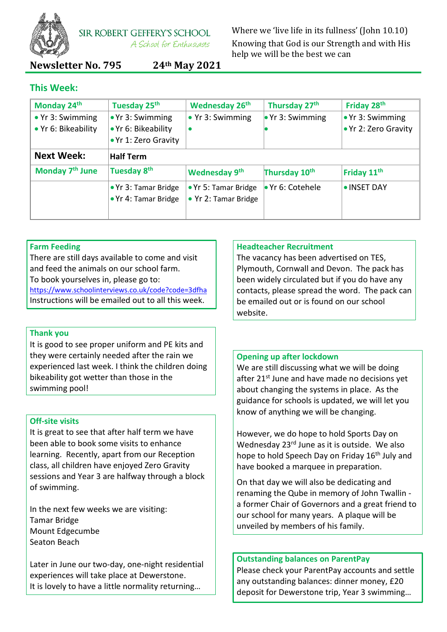

SIR ROBERT GEFFERY'S SCHOOL A School for Enthusiasts

Where we 'live life in its fullness' (John 10.10) Knowing that God is our Strength and with His help we will be the best we can

# **Newsletter No. 795 24th May 2021**

## **This Week:**

| Monday 24th                 | Tuesday 25th             | <b>Wednesday 26th</b>    | Thursday 27th            | Friday 28th              |
|-----------------------------|--------------------------|--------------------------|--------------------------|--------------------------|
| $\bullet$ Yr 3: Swimming    | $\bullet$ Yr 3: Swimming | $\bullet$ Yr 3: Swimming | $\bullet$ Yr 3: Swimming | $\bullet$ Yr 3: Swimming |
| • Yr 6: Bikeability         | . Yr 6: Bikeability      | $\bullet$                |                          | ● Yr 2: Zero Gravity     |
|                             | .Yr 1: Zero Gravity      |                          |                          |                          |
| <b>Next Week:</b>           | <b>Half Term</b>         |                          |                          |                          |
| Monday 7 <sup>th</sup> June | Tuesday 8 <sup>th</sup>  | Wednesday 9th            | Thursday 10th            | Friday 11 <sup>th</sup>  |
|                             | • Yr 3: Tamar Bridge     | • Yr 5: Tamar Bridge     | • Yr 6: Cotehele         | • INSET DAY              |
|                             | • Yr 4: Tamar Bridge     | • Yr 2: Tamar Bridge     |                          |                          |
|                             |                          |                          |                          |                          |

## **Farm Feeding**

There are still days available to come and visit and feed the animals on our school farm. To book yourselves in, please go to: <https://www.schoolinterviews.co.uk/code?code=3dfha> Instructions will be emailed out to all this week.

#### **Thank you**

It is good to see proper uniform and PE kits and they were certainly needed after the rain we experienced last week. I think the children doing bikeability got wetter than those in the swimming pool!

## **Off-site visits**

It is great to see that after half term we have been able to book some visits to enhance learning. Recently, apart from our Reception class, all children have enjoyed Zero Gravity sessions and Year 3 are halfway through a block of swimming.

In the next few weeks we are visiting: Tamar Bridge Mount Edgecumbe Seaton Beach

Later in June our two-day, one-night residential experiences will take place at Dewerstone. It is lovely to have a little normality returning…

#### **Headteacher Recruitment**

The vacancy has been advertised on TES, Plymouth, Cornwall and Devon. The pack has been widely circulated but if you do have any contacts, please spread the word. The pack can be emailed out or is found on our school website.

#### **Opening up after lockdown**

We are still discussing what we will be doing after 21<sup>st</sup> June and have made no decisions yet about changing the systems in place. As the guidance for schools is updated, we will let you know of anything we will be changing.

However, we do hope to hold Sports Day on Wednesday 23<sup>rd</sup> June as it is outside. We also hope to hold Speech Day on Friday 16<sup>th</sup> July and have booked a marquee in preparation.

On that day we will also be dedicating and renaming the Qube in memory of John Twallin a former Chair of Governors and a great friend to our school for many years. A plaque will be unveiled by members of his family.

#### **Outstanding balances on ParentPay**

Please check your ParentPay accounts and settle any outstanding balances: dinner money, £20 deposit for Dewerstone trip, Year 3 swimming…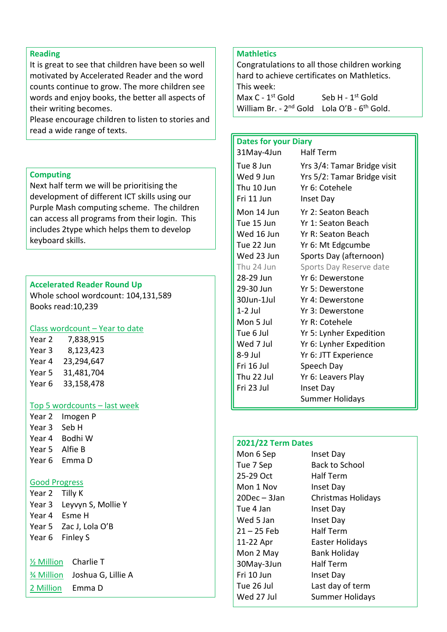#### **Reading**

It is great to see that children have been so well motivated by Accelerated Reader and the word counts continue to grow. The more children see words and enjoy books, the better all aspects of their writing becomes.

Please encourage children to listen to stories and read a wide range of texts.

#### **Computing**

Next half term we will be prioritising the development of different ICT skills using our Purple Mash computing scheme. The children can access all programs from their login. This includes 2type which helps them to develop keyboard skills.

#### **Accelerated Reader Round Up**

Whole school wordcount: 104,131,589 Books read:10,239

## Class wordcount – Year to date

Year 2 7,838,915 Year 3 8,123,423 Year 4 23,294,647 Year 5 31,481,704 Year 6 33,158,478

#### Top 5 wordcounts – last week

Year 2 Imogen P Year 3 Seb H Year 4 Bodhi W Year 5 Alfie B Year 6 Emma D

#### Good Progress

| Year 2 Tilly K |                           |
|----------------|---------------------------|
|                | Year 3 Leyvyn S, Mollie Y |
|                | Year 4 Esme H             |
|                | Year 5 Zac J, Lola O'B    |
|                | Year 6 Finley S           |
|                |                           |

| $\frac{1}{2}$ Million | Charlie T                      |
|-----------------------|--------------------------------|
|                       | 3⁄4 Million Joshua G, Lillie A |
| 2 Million             | Emma D                         |

## **Mathletics**

Congratulations to all those children working hard to achieve certificates on Mathletics. This week: Max  $C - 1$ <sup>st</sup> Gold <sup>st</sup> Gold Seb H - 1<sup>st</sup> Gold William Br. - 2<sup>nd</sup> Gold Lola O'B - 6<sup>th</sup> Gold.

#### **Dates for your Diary**

| 31May-4Jun                                         | <b>Half Term</b>                                                                          |
|----------------------------------------------------|-------------------------------------------------------------------------------------------|
| Tue 8 Jun<br>Wed 9 Jun<br>Thu 10 Jun<br>Fri 11 Jun | Yrs 3/4: Tamar Bridge visit<br>Yrs 5/2: Tamar Bridge visit<br>Yr 6: Cotehele<br>Inset Day |
| Mon 14 Jun                                         | Yr 2: Seaton Beach                                                                        |
| Tue 15 Jun                                         | Yr 1: Seaton Beach                                                                        |
| Wed 16 Jun                                         | Yr R: Seaton Beach                                                                        |
| Tue 22 Jun                                         | Yr 6: Mt Edgcumbe                                                                         |
| Wed 23 Jun                                         | Sports Day (afternoon)                                                                    |
| Thu 24 Jun                                         | Sports Day Reserve date                                                                   |
| 28-29 Jun                                          | Yr 6: Dewerstone                                                                          |
| 29-30 Jun                                          | Yr 5: Dewerstone                                                                          |
| 30Jun-1Jul                                         | Yr 4: Dewerstone                                                                          |
| $1-2$ Jul                                          | Yr 3: Dewerstone                                                                          |
| Mon 5 Jul                                          | Yr R: Cotehele                                                                            |
| Tue 6 Jul                                          | Yr 5: Lynher Expedition                                                                   |
| Wed 7 Jul                                          | Yr 6: Lynher Expedition                                                                   |
| 8-9 Jul                                            | Yr 6: JTT Experience                                                                      |
| Fri 16 Jul                                         | Speech Day                                                                                |
| Thu 22 Jul                                         | Yr 6: Leavers Play                                                                        |
| Fri 23 Jul                                         | Inset Day                                                                                 |
|                                                    | Summer Holidays                                                                           |

### **2021/22 Term Dates**

Mon 6 Sep Inset Day 25-29 Oct Half Term Mon 1 Nov Inset Day Tue 4 Jan Inset Day Wed 5 Jan Inset Day 21 – 25 Feb Half Term 30May-3Jun Half Term Fri 10 Jun Inset Day

Tue 7 Sep Back to School 20Dec – 3Jan Christmas Holidays 11-22 Apr Easter Holidays Mon 2 May Bank Holiday Tue 26 Jul Last day of term Wed 27 Jul Summer Holidays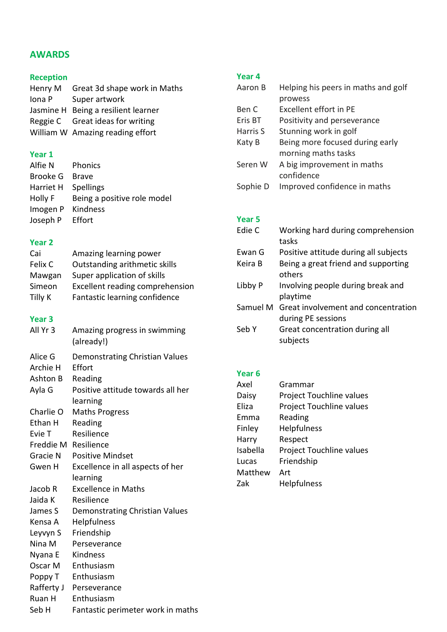# **AWARDS**

## **Reception**

| Henry M | Great 3d shape work in Maths        |
|---------|-------------------------------------|
| Iona P  | Super artwork                       |
|         | Jasmine H Being a resilient learner |
|         | Reggie C Great ideas for writing    |
|         | William W Amazing reading effort    |

## **Year 1**

| Alfie N             | Phonics                     |
|---------------------|-----------------------------|
| Brooke G            | <b>Brave</b>                |
| Harriet H Spellings |                             |
| Holly F             | Being a positive role model |
| Imogen P Kindness   |                             |
| Joseph P Effort     |                             |

## **Year 2**

| Cai     | Amazing learning power                 |
|---------|----------------------------------------|
| Felix C | Outstanding arithmetic skills          |
| Mawgan  | Super application of skills            |
| Simeon  | <b>Excellent reading comprehension</b> |
| Tilly K | Fantastic learning confidence          |
|         |                                        |

# **Year 3**

| All Yr 3             | Amazing progress in swimming<br>(already!) |
|----------------------|--------------------------------------------|
| Alice G              | Demonstrating Christian Values             |
| Archie H             | Effort                                     |
| Ashton B             | Reading                                    |
| Ayla G               | Positive attitude towards all her          |
|                      | learning                                   |
| Charlie O            | <b>Maths Progress</b>                      |
| Ethan H              | Reading                                    |
| Evie T               | Resilience                                 |
| Freddie M Resilience |                                            |
| Gracie N             | <b>Positive Mindset</b>                    |
| Gwen H               | Excellence in all aspects of her           |
|                      | learning                                   |
| Jacob R              | <b>Excellence in Maths</b>                 |
| Jaida K              | Resilience                                 |
| James S              | Demonstrating Christian Values             |
| Kensa A              | Helpfulness                                |
| Leyvyn S             | Friendship                                 |
| Nina M               | Perseverance                               |
| Nyana E              | Kindness                                   |
| Oscar M              | Enthusiasm                                 |
| Poppy T              | Enthusiasm                                 |
| Rafferty J           | Perseverance                               |
| Ruan H               | Enthusiasm                                 |
| Seb H                | Fantastic perimeter work in maths          |

## **Year 4**

| Aaron B  | Helping his peers in maths and golf |
|----------|-------------------------------------|
|          | prowess                             |
| Ben C    | Excellent effort in PE              |
| Eris BT  | Positivity and perseverance         |
| Harris S | Stunning work in golf               |
| Katy B   | Being more focused during early     |
|          | morning maths tasks                 |
| Seren W  | A big improvement in maths          |
|          | confidence                          |
| Sophie D | Improved confidence in maths        |
|          |                                     |

# **Year 5**

| Edie C   | Working hard during comprehension<br>tasks                |
|----------|-----------------------------------------------------------|
| Ewan G   | Positive attitude during all subjects                     |
| Keira B  | Being a great friend and supporting<br>others             |
| Libby P  | Involving people during break and<br>playtime             |
| Samuel M | Great involvement and concentration<br>during PE sessions |
| Seb Y    | Great concentration during all<br>subjects                |

## **Year 6**

| Axel     | Grammar                         |
|----------|---------------------------------|
| Daisy    | <b>Project Touchline values</b> |
| Eliza    | Project Touchline values        |
| Emma     | Reading                         |
| Finley   | Helpfulness                     |
| Harry    | Respect                         |
| Isabella | Project Touchline values        |
| Lucas    | Friendship                      |
| Matthew  | Art                             |
| Zak      | <b>Helpfulness</b>              |